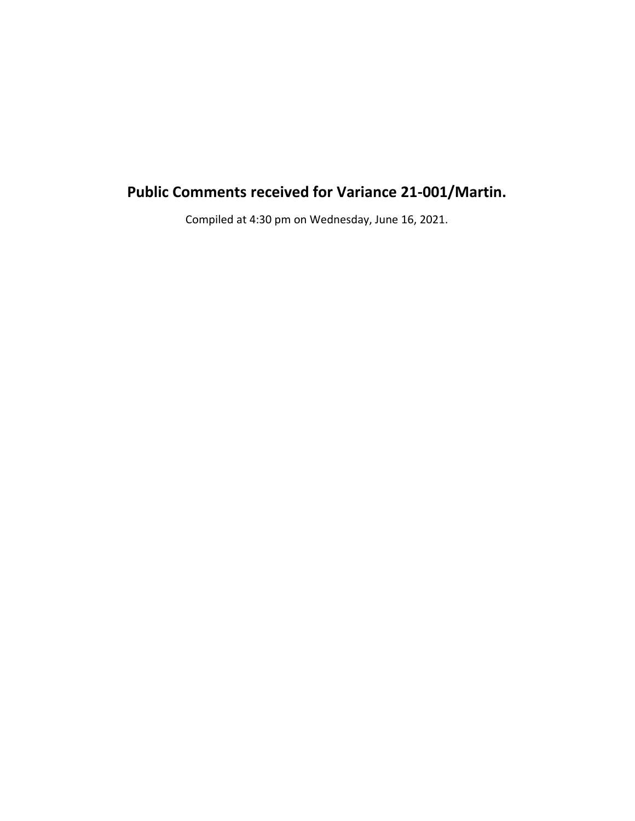# **Public Comments received for Variance 21-001/Martin.**

Compiled at 4:30 pm on Wednesday, June 16, 2021.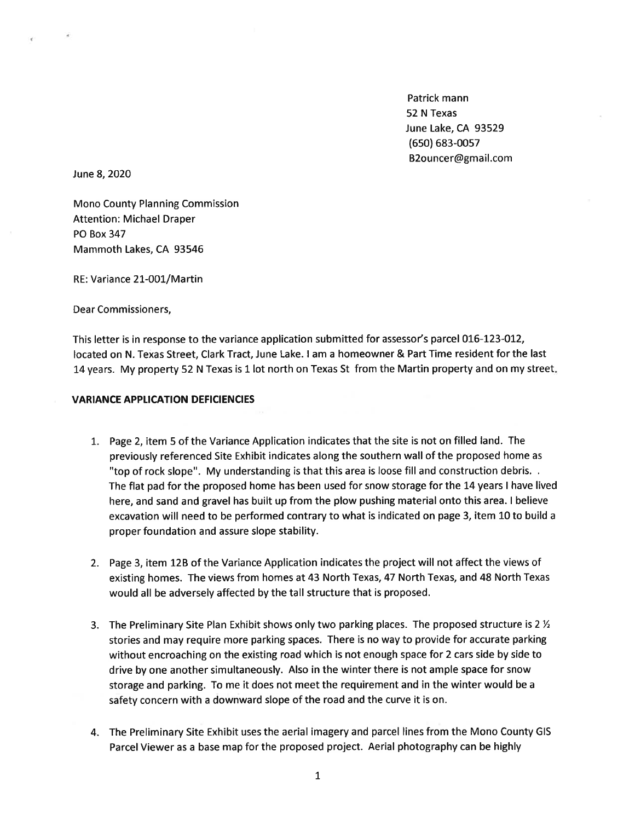Patrick mann 52 N Texas June Lake, CA 93529  $(650) 683 - 0057$ B2ouncer@gmail.com

June 8, 2020

**Mono County Planning Commission Attention: Michael Draper PO Box 347** Mammoth Lakes, CA 93546

RE: Variance 21-001/Martin

Dear Commissioners,

This letter is in response to the variance application submitted for assessor's parcel 016-123-012, located on N. Texas Street, Clark Tract, June Lake. I am a homeowner & Part Time resident for the last 14 years. My property 52 N Texas is 1 lot north on Texas St from the Martin property and on my street.

#### **VARIANCE APPLICATION DEFICIENCIES**

- 1. Page 2, item 5 of the Variance Application indicates that the site is not on filled land. The previously referenced Site Exhibit indicates along the southern wall of the proposed home as "top of rock slope". My understanding is that this area is loose fill and construction debris. . The flat pad for the proposed home has been used for snow storage for the 14 years I have lived here, and sand and gravel has built up from the plow pushing material onto this area. I believe excavation will need to be performed contrary to what is indicated on page 3, item 10 to build a proper foundation and assure slope stability.
- 2. Page 3, item 12B of the Variance Application indicates the project will not affect the views of existing homes. The views from homes at 43 North Texas, 47 North Texas, and 48 North Texas would all be adversely affected by the tall structure that is proposed.
- 3. The Preliminary Site Plan Exhibit shows only two parking places. The proposed structure is 2  $\frac{1}{2}$ stories and may require more parking spaces. There is no way to provide for accurate parking without encroaching on the existing road which is not enough space for 2 cars side by side to drive by one another simultaneously. Also in the winter there is not ample space for snow storage and parking. To me it does not meet the requirement and in the winter would be a safety concern with a downward slope of the road and the curve it is on.
- 4. The Preliminary Site Exhibit uses the aerial imagery and parcel lines from the Mono County GIS Parcel Viewer as a base map for the proposed project. Aerial photography can be highly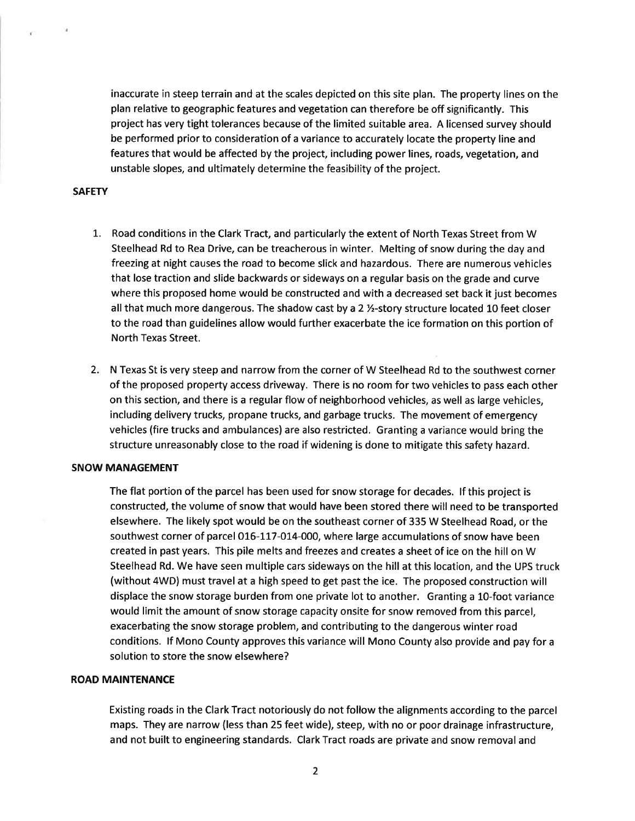inaccurate in steep terrain and at the scales depicted on this site plan. The property lines on the plan relative to geographic features and vegetation can therefore be off significantly. This project has very tight tolerances because of the limited suitable area. A licensed survey should be performed prior to consideration of a variance to accurately locate the property line and features that would be affected by the project, including power lines, roads, vegetation, and unstable slopes, and ultimately determine the feasibility of the project.

#### **SAFETY**

ď.

- 1. Road conditions in the Clark Tract, and particularly the extent of North Texas Street from W Steelhead Rd to Rea Drive, can be treacherous in winter. Melting of snow during the day and freezing at night causes the road to become slick and hazardous. There are numerous vehicles that lose traction and slide backwards or sideways on a regular basis on the grade and curve where this proposed home would be constructed and with a decreased set back it just becomes all that much more dangerous. The shadow cast by a 2 1/2-story structure located 10 feet closer to the road than guidelines allow would further exacerbate the ice formation on this portion of North Texas Street.
- 2. N Texas St is very steep and narrow from the corner of W Steelhead Rd to the southwest corner of the proposed property access driveway. There is no room for two vehicles to pass each other on this section, and there is a regular flow of neighborhood vehicles, as well as large vehicles, including delivery trucks, propane trucks, and garbage trucks. The movement of emergency vehicles (fire trucks and ambulances) are also restricted. Granting a variance would bring the structure unreasonably close to the road if widening is done to mitigate this safety hazard.

### **SNOW MANAGEMENT**

The flat portion of the parcel has been used for snow storage for decades. If this project is constructed, the volume of snow that would have been stored there will need to be transported elsewhere. The likely spot would be on the southeast corner of 335 W Steelhead Road, or the southwest corner of parcel 016-117-014-000, where large accumulations of snow have been created in past years. This pile melts and freezes and creates a sheet of ice on the hill on W Steelhead Rd. We have seen multiple cars sideways on the hill at this location, and the UPS truck (without 4WD) must travel at a high speed to get past the ice. The proposed construction will displace the snow storage burden from one private lot to another. Granting a 10-foot variance would limit the amount of snow storage capacity onsite for snow removed from this parcel, exacerbating the snow storage problem, and contributing to the dangerous winter road conditions. If Mono County approves this variance will Mono County also provide and pay for a solution to store the snow elsewhere?

#### **ROAD MAINTENANCE**

Existing roads in the Clark Tract notoriously do not follow the alignments according to the parcel maps. They are narrow (less than 25 feet wide), steep, with no or poor drainage infrastructure. and not built to engineering standards. Clark Tract roads are private and snow removal and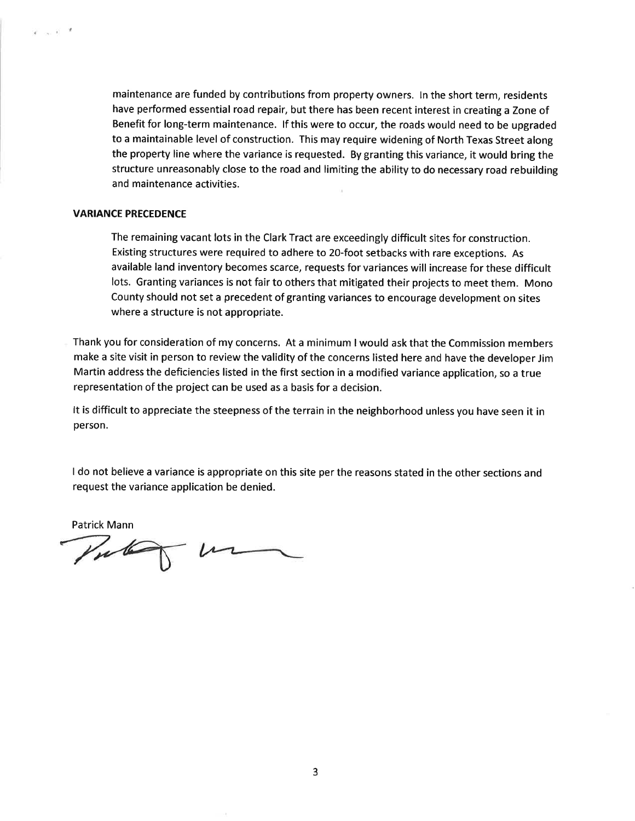maintenance are funded by contributions from property owners. In the short term, residents have performed essential road repair, but there has been recent interest in creating a Zone of Benefit for long-term maintenance. If this were to occur, the roads would need to be upgraded to a maintainable level of construction. This may require widening of North Texas Street along the property line where the variance is requested. By granting this variance, it would bring the structure unreasonably close to the road and limiting the ability to do necessary road rebuilding and maintenance activities.

#### **VARIANCE PRECEDENCE**

 $\tilde{\mathcal{X}}=\infty$  ,  $\tilde{\mathcal{X}}=\mathcal{X}$ 

The remaining vacant lots in the Clark Tract are exceedingly difficult sites for construction. Existing structures were required to adhere to 20-foot setbacks with rare exceptions. As available land inventory becomes scarce, requests for variances will increase for these difficult lots. Granting variances is not fair to others that mitigated their projects to meet them. Mono County should not set a precedent of granting variances to encourage development on sites where a structure is not appropriate.

Thank you for consideration of my concerns. At a minimum I would ask that the Commission members make a site visit in person to review the validity of the concerns listed here and have the developer Jim Martin address the deficiencies listed in the first section in a modified variance application, so a true representation of the project can be used as a basis for a decision.

It is difficult to appreciate the steepness of the terrain in the neighborhood unless you have seen it in person.

I do not believe a variance is appropriate on this site per the reasons stated in the other sections and request the variance application be denied.

Patrick Mann

Vulan 1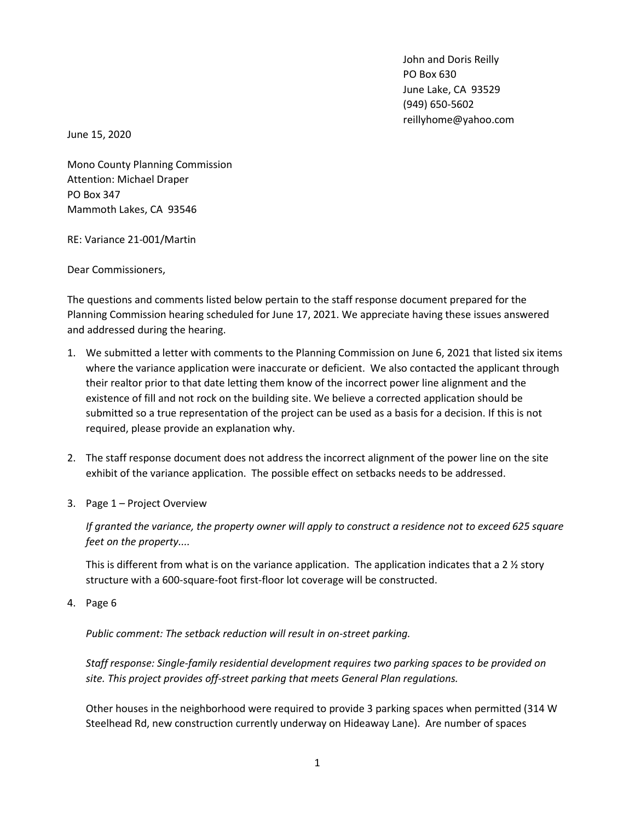John and Doris Reilly PO Box 630 June Lake, CA 93529 (949) 650-5602 reillyhome@yahoo.com

June 15, 2020

Mono County Planning Commission Attention: Michael Draper PO Box 347 Mammoth Lakes, CA 93546

RE: Variance 21-001/Martin

Dear Commissioners,

The questions and comments listed below pertain to the staff response document prepared for the Planning Commission hearing scheduled for June 17, 2021. We appreciate having these issues answered and addressed during the hearing.

- 1. We submitted a letter with comments to the Planning Commission on June 6, 2021 that listed six items where the variance application were inaccurate or deficient. We also contacted the applicant through their realtor prior to that date letting them know of the incorrect power line alignment and the existence of fill and not rock on the building site. We believe a corrected application should be submitted so a true representation of the project can be used as a basis for a decision. If this is not required, please provide an explanation why.
- 2. The staff response document does not address the incorrect alignment of the power line on the site exhibit of the variance application. The possible effect on setbacks needs to be addressed.
- 3. Page 1 Project Overview

*If granted the variance, the property owner will apply to construct a residence not to exceed 625 square feet on the property....*

This is different from what is on the variance application. The application indicates that a 2  $\frac{1}{2}$  story structure with a 600-square-foot first-floor lot coverage will be constructed.

4. Page 6

*Public comment: The setback reduction will result in on-street parking.*

*Staff response: Single-family residential development requires two parking spaces to be provided on site. This project provides off-street parking that meets General Plan regulations.*

Other houses in the neighborhood were required to provide 3 parking spaces when permitted (314 W Steelhead Rd, new construction currently underway on Hideaway Lane). Are number of spaces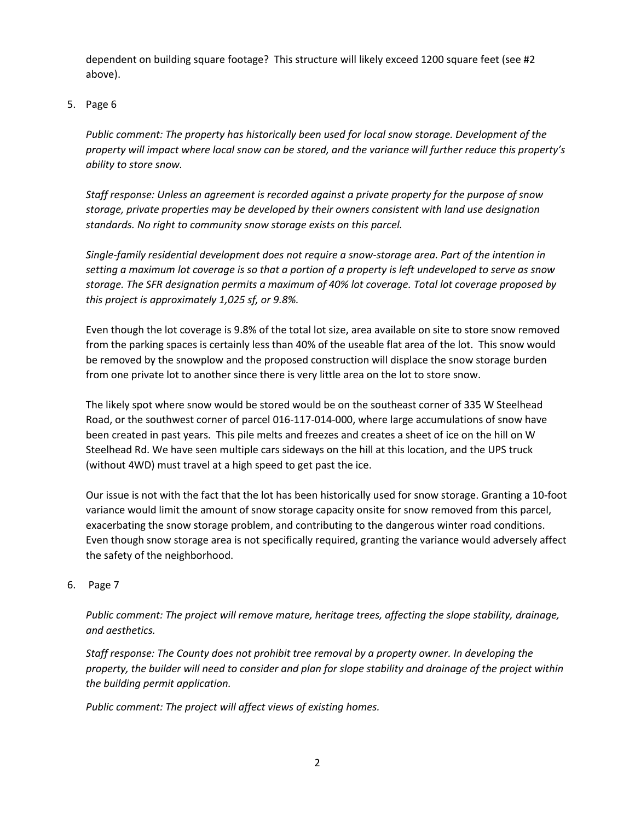dependent on building square footage? This structure will likely exceed 1200 square feet (see #2 above).

5. Page 6

*Public comment: The property has historically been used for local snow storage. Development of the property will impact where local snow can be stored, and the variance will further reduce this property's ability to store snow.*

*Staff response: Unless an agreement is recorded against a private property for the purpose of snow storage, private properties may be developed by their owners consistent with land use designation standards. No right to community snow storage exists on this parcel.*

*Single-family residential development does not require a snow-storage area. Part of the intention in setting a maximum lot coverage is so that a portion of a property is left undeveloped to serve as snow storage. The SFR designation permits a maximum of 40% lot coverage. Total lot coverage proposed by this project is approximately 1,025 sf, or 9.8%.*

Even though the lot coverage is 9.8% of the total lot size, area available on site to store snow removed from the parking spaces is certainly less than 40% of the useable flat area of the lot. This snow would be removed by the snowplow and the proposed construction will displace the snow storage burden from one private lot to another since there is very little area on the lot to store snow.

The likely spot where snow would be stored would be on the southeast corner of 335 W Steelhead Road, or the southwest corner of parcel 016-117-014-000, where large accumulations of snow have been created in past years. This pile melts and freezes and creates a sheet of ice on the hill on W Steelhead Rd. We have seen multiple cars sideways on the hill at this location, and the UPS truck (without 4WD) must travel at a high speed to get past the ice.

Our issue is not with the fact that the lot has been historically used for snow storage. Granting a 10-foot variance would limit the amount of snow storage capacity onsite for snow removed from this parcel, exacerbating the snow storage problem, and contributing to the dangerous winter road conditions. Even though snow storage area is not specifically required, granting the variance would adversely affect the safety of the neighborhood.

6. Page 7

*Public comment: The project will remove mature, heritage trees, affecting the slope stability, drainage, and aesthetics.*

*Staff response: The County does not prohibit tree removal by a property owner. In developing the property, the builder will need to consider and plan for slope stability and drainage of the project within the building permit application.*

*Public comment: The project will affect views of existing homes.*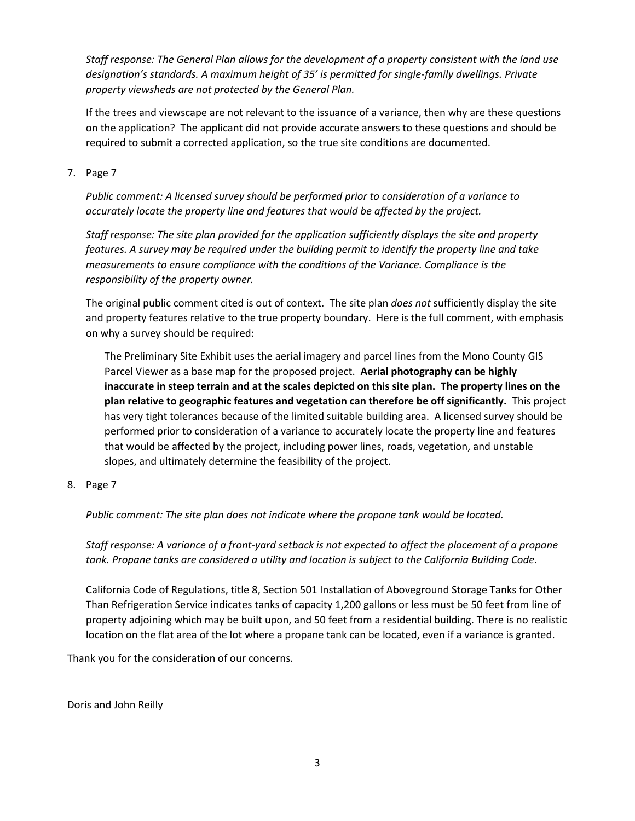*Staff response: The General Plan allows for the development of a property consistent with the land use designation's standards. A maximum height of 35' is permitted for single-family dwellings. Private property viewsheds are not protected by the General Plan.*

If the trees and viewscape are not relevant to the issuance of a variance, then why are these questions on the application? The applicant did not provide accurate answers to these questions and should be required to submit a corrected application, so the true site conditions are documented.

## 7. Page 7

*Public comment: A licensed survey should be performed prior to consideration of a variance to accurately locate the property line and features that would be affected by the project.*

*Staff response: The site plan provided for the application sufficiently displays the site and property features. A survey may be required under the building permit to identify the property line and take measurements to ensure compliance with the conditions of the Variance. Compliance is the responsibility of the property owner.*

The original public comment cited is out of context. The site plan *does not* sufficiently display the site and property features relative to the true property boundary. Here is the full comment, with emphasis on why a survey should be required:

The Preliminary Site Exhibit uses the aerial imagery and parcel lines from the Mono County GIS Parcel Viewer as a base map for the proposed project. **Aerial photography can be highly inaccurate in steep terrain and at the scales depicted on this site plan. The property lines on the plan relative to geographic features and vegetation can therefore be off significantly.** This project has very tight tolerances because of the limited suitable building area. A licensed survey should be performed prior to consideration of a variance to accurately locate the property line and features that would be affected by the project, including power lines, roads, vegetation, and unstable slopes, and ultimately determine the feasibility of the project.

## 8. Page 7

*Public comment: The site plan does not indicate where the propane tank would be located.*

*Staff response: A variance of a front-yard setback is not expected to affect the placement of a propane tank. Propane tanks are considered a utility and location is subject to the California Building Code.*

California Code of Regulations, title 8, Section 501 Installation of Aboveground Storage Tanks for Other Than Refrigeration Service indicates tanks of capacity 1,200 gallons or less must be 50 feet from line of property adjoining which may be built upon, and 50 feet from a residential building. There is no realistic location on the flat area of the lot where a propane tank can be located, even if a variance is granted.

Thank you for the consideration of our concerns.

Doris and John Reilly